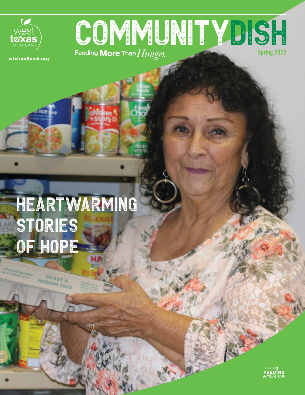

# Spring 2022 COMMUNITYDISH

**wtxfoodbank.org**

# Heartwarming STORIES of Hope

GRADE A MEDIUM EGGS

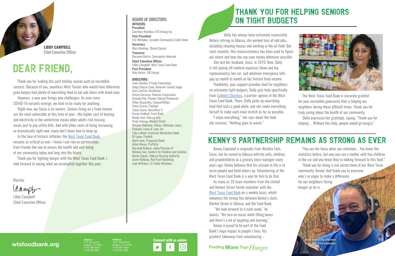# Dear Friend,



Kenny Copeland is originally from Wichita Falls, Texas, but he moved to Odessa with his wife, children, and grandchildren as a grocery store manager many years ago. Kenny believes that his mission in life is to serve people and build others up. Volunteering at the West Texas Food Bank is a way for him to do that.

As many as 20 team members from the United and Market Street family volunteer with the [West Texas Food Bank](https://wtxfoodbank.volunteerhub.com/?format=1&filter={}) on a weekly basis, which enhances the strong ties between Kenny's store, Market Street in Odessa, and the Food Bank.

 "We look forward to it each week," he shares. "We turn on music while filling boxes and there's a lot of laughing and learning."

Kenny is proud to be part of the Food Bank's huge impact in people's lives. His greatest takeaway from volunteering –

### Feeding More Than Hunger.

Dolly has always been extremely resourceful. Before retiring in Odessa, she worked tons of odd jobs, including cleaning houses and working in the oil field. But most recently, this resourcefulness has been used to figure out where and how she can save money whenever possible.

She lost her husband, Jesus, in 2019. Now, Dolly is left paying off medical expenses (knee and hip replacements), her car, and whatever emergency bills pop up month to month on her limited fixed income.

Thankfully, your support provides food for neighbors on extremely tight budgets. Dolly gets help specifically from [Catholic Charities](https://ccodessa.com/), a partner agency of the West Texas Food Bank. There, Dolly picks up nourishing food that lasts a good while, and she cooks everything herself to make each meal stretch as far as possible.

"I enjoy everything," she says about the food she receives. "Nothing goes to waste."

## Kenny's Partnership Remains as Strong as Ever

**Treasurer** Maryann Martin, Community Advocate Chief Executive Officer Libby Campbell, West Texas Food Bank

Lewis Busbee, Private Counseling Judge Eleazar Cano, Brewster County Judge Gary Carlisle, Occidental Arturo Carrasco, Chevron Corporation Amanda Day, Pioneer Natural Resources Chloe Desjardins, ConocoPhillips Stacy Grosse, PopSpot Tatum Guinn, NewsWest 9 Krysta Hadlock, Frost Bank Randy Ham, Odessa Arts Ricky Holman, Market Street Melanie Hollmann, Atkins, Hollmann, Jones, Peacock, Lewis & Lyon, Inc. Toby Latham, American Momentum Bank RJ Lopez, Parkhill Mark Lowe, Prosperity Bank Adam Munoz, ProPetro Marshall Roberts, Alpha Permian LP Melanie Saiz, Centers for Children and Families Bernie Spears, Odessa Housing Authority Justin Waldrop, Red Pixel Marketing Leah Williams, LC Public Relations

The West Texas Food Bank is sincerely grateful for your incredible generosity that is helping our neighbors during these difficult times. Thank you for truly caring about the health of our community.

Dolly expresses her gratitude, saying, "Thank you for helping ... Without this help, people would go hungry."

**Odessa** P. O. Box 4373 Odessa, TX 79761 P 432.580.6333 F 432.580.0807

**Midland** 1601 Westcliff Dr. Midland, TX 79703 P 432.697.4003 F 432.697.4002

#### **wtxfoodbank.org**



## Thank You for Helping Seniors on Tight Budgets

Thank you for making this past holiday season such an incredible success. Because of you, countless West Texans who would have otherwise gone hungry had plenty of nourishing food to eat and share with loved ones.

However, a new year brings new challenges. As even more COVID-19 variants emerge, we have to be ready for anything.

Right now, our focus is on seniors. Seniors living on a fixed income are the most vulnerable at this time of year –the higher cost of heating and electricity in the wintertime means older adults risk missing meals just to pay utility bills. And with other costs of living increasing so dramatically right now, many don't know how to keep up.

In the face of historic inflation, the [West Texas Food Bank](https://wtxfoodbank.org)  remains as critical as ever. I know I can rely on partnerships from friends like you to ensure the health and well-being of our community today and long into the future.

Thank you for fighting hunger with the West Texas Food Bank. I look forward to seeing what we accomplish together this year.

Warmly,

Clampb

Libby Campbell Chief Executive Officer

*BOARD OF DIRECTORS:* **OFFICERS: President** Courtney Wardlaw, XTO Energy Inc. Vice President

Eric Whitaker, Complex Community Credit Union **Secretary** Marc Kondrup, Shared Spaces

Past President Alex Hester, SM Energy

#### **DIRECTORS:**

"You see the faces when you volunteer... You knew the statistics before, but now you see a mother with five children in the car and you know they're looking forward to this food."

Thank you for being a real cornerstone of our West Texas community, Kenny! And thank you to everyone who's as eager to make a difference **PARTAH STRONBER** for our neighbors facing hunger as he is.



*Kenny makes a big difference in our West Texas community.*